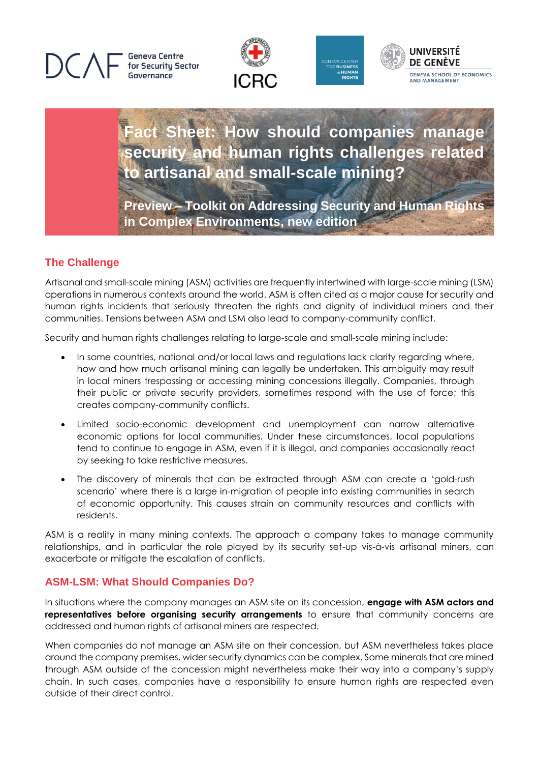







**Fact Sheet: How should companies manage security and human rights challenges related to artisanal and small-scale mining?**

**Preview – Toolkit on Addressing Security and Human Rights in Complex Environments, new edition**

## **The Challenge**

Artisanal and small-scale mining (ASM) activities are frequently intertwined with large-scale mining (LSM) operations in numerous contexts around the world. ASM is often cited as a major cause for security and human rights incidents that seriously threaten the rights and dignity of individual miners and their communities. Tensions between ASM and LSM also lead to company-community conflict.

Security and human rights challenges relating to large-scale and small-scale mining include:

- In some countries, national and/or local laws and regulations lack clarity regarding where, how and how much artisanal mining can legally be undertaken. This ambiguity may result in local miners trespassing or accessing mining concessions illegally. Companies, through their public or private security providers, sometimes respond with the use of force; this creates company-community conflicts.
- Limited socio-economic development and unemployment can narrow alternative economic options for local communities. Under these circumstances, local populations tend to continue to engage in ASM, even if it is illegal, and companies occasionally react by seeking to take restrictive measures.
- The discovery of minerals that can be extracted through ASM can create a 'gold-rush scenario' where there is a large in-migration of people into existing communities in search of economic opportunity. This causes strain on community resources and conflicts with residents.

ASM is a reality in many mining contexts. The approach a company takes to manage community relationships, and in particular the role played by its security set-up vis-à-vis artisanal miners, can exacerbate or mitigate the escalation of conflicts.

## **ASM-LSM: What Should Companies Do?**

In situations where the company manages an ASM site on its concession, **engage with ASM actors and representatives before organising security arrangements** to ensure that community concerns are addressed and human rights of artisanal miners are respected.

When companies do not manage an ASM site on their concession, but ASM nevertheless takes place around the company premises, wider security dynamics can be complex. Some minerals that are mined through ASM outside of the concession might nevertheless make their way into a company's supply chain. In such cases, companies have a responsibility to ensure human rights are respected even outside of their direct control.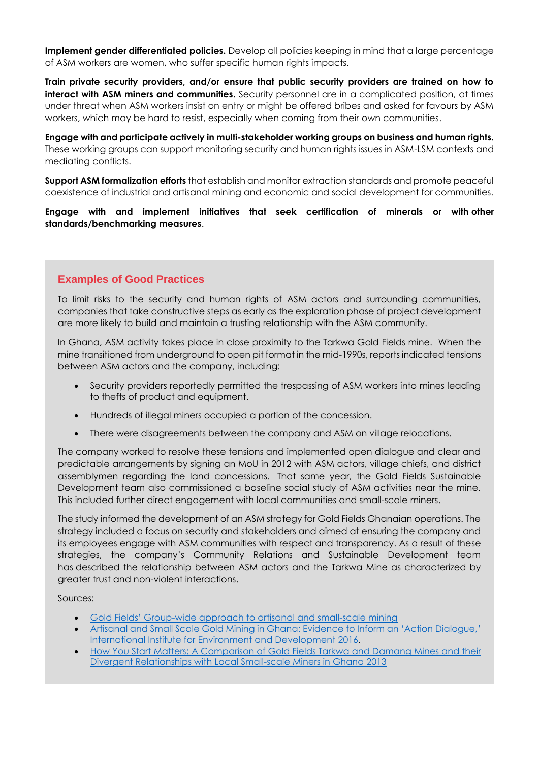**Implement gender differentiated policies.** Develop all policies keeping in mind that a large percentage of ASM workers are women, who suffer specific human rights impacts.

**Train private security providers, and/or ensure that public security providers are trained on how to interact with ASM miners and communities.** Security personnel are in a complicated position, at times under threat when ASM workers insist on entry or might be offered bribes and asked for favours by ASM workers, which may be hard to resist, especially when coming from their own communities.

**Engage with and participate actively in multi-stakeholder working groups on business and human rights.** These working groups can support monitoring security and human rights issues in ASM-LSM contexts and mediating conflicts.

**Support ASM formalization efforts** that establish and monitor extraction standards and promote peaceful coexistence of industrial and artisanal mining and economic and social development for communities.

**Engage with and implement initiatives that seek certification of minerals or with other standards/benchmarking measures**.

## **Examples of Good Practices**

To limit risks to the security and human rights of ASM actors and surrounding communities, companies that take constructive steps as early as the exploration phase of project development are more likely to build and maintain a trusting relationship with the ASM community.

In Ghana, ASM activity takes place in close proximity to the Tarkwa Gold Fields mine. When the mine transitioned from underground to open pit format in the mid-1990s, reports indicated tensions between ASM actors and the company, including:

- Security providers reportedly permitted the trespassing of ASM workers into mines leading to thefts of product and equipment.
- Hundreds of illegal miners occupied a portion of the concession.
- There were disagreements between the company and ASM on village relocations.

The company worked to resolve these tensions and implemented open dialogue and clear and predictable arrangements by signing an MoU in 2012 with ASM actors, village chiefs, and district assemblymen regarding the land concessions. That same year, the Gold Fields Sustainable Development team also commissioned a baseline social study of ASM activities near the mine. This included further direct engagement with local communities and small-scale miners.

The study informed the development of an ASM strategy for Gold Fields Ghanaian operations. The strategy included a focus on security and stakeholders and aimed at ensuring the company and its employees engage with ASM communities with respect and transparency. As a result of these strategies, the company's Community Relations and Sustainable Development team has described the relationship between ASM actors and the Tarkwa Mine as characterized by greater trust and non-violent interactions.

Sources:

- Gold Fields' Group[-wide approach to artisanal and small-scale mining](https://www.goldfields.com/reports/annual_report_2012/ana-case6.php)
- Artisanal and Small [Scale Gold Mining in Ghana: Evidence to Inform an 'Action Dialogue,'](https://pubs.iied.org/sites/default/files/pdfs/migrate/16618IIED.pdf)  [International Institute for Environment and Development](https://pubs.iied.org/sites/default/files/pdfs/migrate/16618IIED.pdf) 2016.
- How You Start Matters: A Comparison of Gold Fields Tarkwa and Damang Mines and their [Divergent Relationships with Local Small-scale Miners in Ghana 2013](https://www.researchgate.net/publication/273795077_How_you_start_matters_A_comparison_of_Gold_Fields)